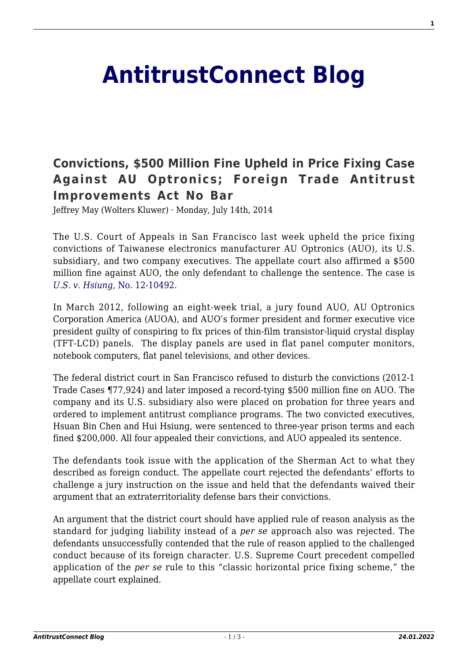## **[AntitrustConnect Blog](http://antitrustconnect.com/)**

## **[Convictions, \\$500 Million Fine Upheld in Price Fixing Case](http://antitrustconnect.com/2014/07/14/convictions-500-million-fine-upheld-in-price-fixing-case-against-au-optronics-foreign-trade-antitrust-improvements-act-no-bar/) [Against AU Optronics; Foreign Trade Antitrust](http://antitrustconnect.com/2014/07/14/convictions-500-million-fine-upheld-in-price-fixing-case-against-au-optronics-foreign-trade-antitrust-improvements-act-no-bar/) [Improvements Act No Bar](http://antitrustconnect.com/2014/07/14/convictions-500-million-fine-upheld-in-price-fixing-case-against-au-optronics-foreign-trade-antitrust-improvements-act-no-bar/)**

Jeffrey May (Wolters Kluwer) · Monday, July 14th, 2014

The U.S. Court of Appeals in San Francisco last week upheld the price fixing convictions of Taiwanese electronics manufacturer AU Optronics (AUO), its U.S. subsidiary, and two company executives. The appellate court also affirmed a \$500 million fine against AUO, the only defendant to challenge the sentence. The case is *[U.S. v. Hsiung](http://cdn.ca9.uscourts.gov/datastore/opinions/2014/07/10/12-10492.pdf)*[, No. 12-10492.](http://cdn.ca9.uscourts.gov/datastore/opinions/2014/07/10/12-10492.pdf)

In March 2012, following an eight-week trial, a jury found AUO, AU Optronics Corporation America (AUOA), and AUO's former president and former executive vice president guilty of conspiring to fix prices of thin-film transistor-liquid crystal display (TFT-LCD) panels. The display panels are used in flat panel computer monitors, notebook computers, flat panel televisions, and other devices.

The federal district court in San Francisco refused to disturb the convictions (2012-1 Trade Cases ¶77,924) and later imposed a record-tying \$500 million fine on AUO. The company and its U.S. subsidiary also were placed on probation for three years and ordered to implement antitrust compliance programs. The two convicted executives, Hsuan Bin Chen and Hui Hsiung, were sentenced to three-year prison terms and each fined \$200,000. All four appealed their convictions, and AUO appealed its sentence.

The defendants took issue with the application of the Sherman Act to what they described as foreign conduct. The appellate court rejected the defendants' efforts to challenge a jury instruction on the issue and held that the defendants waived their argument that an extraterritoriality defense bars their convictions.

An argument that the district court should have applied rule of reason analysis as the standard for judging liability instead of a *per se* approach also was rejected. The defendants unsuccessfully contended that the rule of reason applied to the challenged conduct because of its foreign character. U.S. Supreme Court precedent compelled application of the *per se* rule to this "classic horizontal price fixing scheme," the appellate court explained.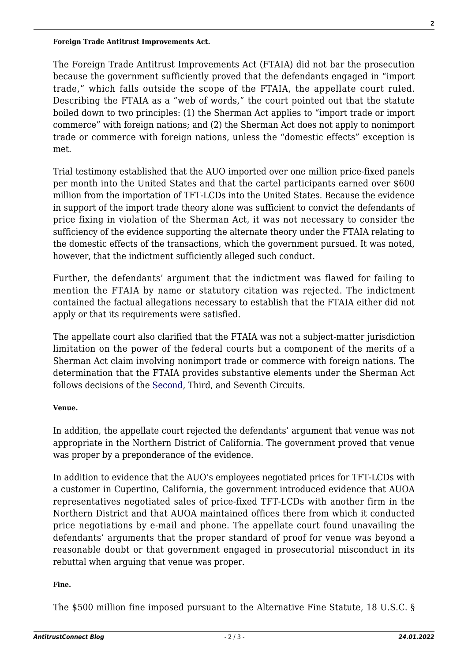The Foreign Trade Antitrust Improvements Act (FTAIA) did not bar the prosecution because the government sufficiently proved that the defendants engaged in "import trade," which falls outside the scope of the FTAIA, the appellate court ruled. Describing the FTAIA as a "web of words," the court pointed out that the statute boiled down to two principles: (1) the Sherman Act applies to "import trade or import commerce" with foreign nations; and (2) the Sherman Act does not apply to nonimport trade or commerce with foreign nations, unless the "domestic effects" exception is met.

Trial testimony established that the AUO imported over one million price-fixed panels per month into the United States and that the cartel participants earned over \$600 million from the importation of TFT-LCDs into the United States. Because the evidence in support of the import trade theory alone was sufficient to convict the defendants of price fixing in violation of the Sherman Act, it was not necessary to consider the sufficiency of the evidence supporting the alternate theory under the FTAIA relating to the domestic effects of the transactions, which the government pursued. It was noted, however, that the indictment sufficiently alleged such conduct.

Further, the defendants' argument that the indictment was flawed for failing to mention the FTAIA by name or statutory citation was rejected. The indictment contained the factual allegations necessary to establish that the FTAIA either did not apply or that its requirements were satisfied.

The appellate court also clarified that the FTAIA was not a subject-matter jurisdiction limitation on the power of the federal courts but a component of the merits of a Sherman Act claim involving nonimport trade or commerce with foreign nations. The determination that the FTAIA provides substantive elements under the Sherman Act follows decisions of the [Second,](http://www.ca2.uscourts.gov/decisions/isysquery/f458ec37-48d7-4f22-8788-e1e4dc16a5ee/6/doc/13-2280_opn.pdf#xml=http://www.ca2.uscourts.gov/decisions/isysquery/f458ec37-48d7-4f22-8788-e1e4dc16a5ee/6/hilite/) Third, and Seventh Circuits.

## **Venue.**

In addition, the appellate court rejected the defendants' argument that venue was not appropriate in the Northern District of California. The government proved that venue was proper by a preponderance of the evidence.

In addition to evidence that the AUO's employees negotiated prices for TFT-LCDs with a customer in Cupertino, California, the government introduced evidence that AUOA representatives negotiated sales of price-fixed TFT-LCDs with another firm in the Northern District and that AUOA maintained offices there from which it conducted price negotiations by e-mail and phone. The appellate court found unavailing the defendants' arguments that the proper standard of proof for venue was beyond a reasonable doubt or that government engaged in prosecutorial misconduct in its rebuttal when arguing that venue was proper.

## **Fine.**

The \$500 million fine imposed pursuant to the Alternative Fine Statute, 18 U.S.C. §